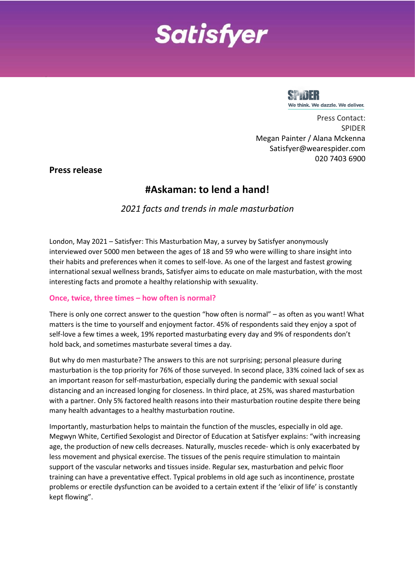# **Satisfyer**



Press Contact: SPIDER Megan Painter / Alana Mckenna Satisfyer@wearespider.com 020 7403 6900

**Press release**

# **#Askaman: to lend a hand!**

*2021 facts and trends in male masturbation*

London, May 2021 – Satisfyer: This Masturbation May, a survey by Satisfyer anonymously interviewed over 5000 men between the ages of 18 and 59 who were willing to share insight into their habits and preferences when it comes to self-love. As one of the largest and fastest growing international sexual wellness brands, Satisfyer aims to educate on male masturbation, with the most interesting facts and promote a healthy relationship with sexuality.

# **Once, twice, three times – how often is normal?**

There is only one correct answer to the question "how often is normal" – as often as you want! What matters is the time to yourself and enjoyment factor. 45% of respondents said they enjoy a spot of self-love a few times a week, 19% reported masturbating every day and 9% of respondents don't hold back, and sometimes masturbate several times a day.

But why do men masturbate? The answers to this are not surprising; personal pleasure during masturbation is the top priority for 76% of those surveyed. In second place, 33% coined lack of sex as an important reason for self-masturbation, especially during the pandemic with sexual social distancing and an increased longing for closeness. In third place, at 25%, was shared masturbation with a partner. Only 5% factored health reasons into their masturbation routine despite there being many health advantages to a healthy masturbation routine.

Importantly, masturbation helps to maintain the function of the muscles, especially in old age. Megwyn White, Certified Sexologist and Director of Education at Satisfyer explains: "with increasing age, the production of new cells decreases. Naturally, muscles recede- which is only exacerbated by less movement and physical exercise. The tissues of the penis require stimulation to maintain support of the vascular networks and tissues inside. Regular sex, masturbation and pelvic floor training can have a preventative effect. Typical problems in old age such as incontinence, prostate problems or erectile dysfunction can be avoided to a certain extent if the 'elixir of life' is constantly kept flowing".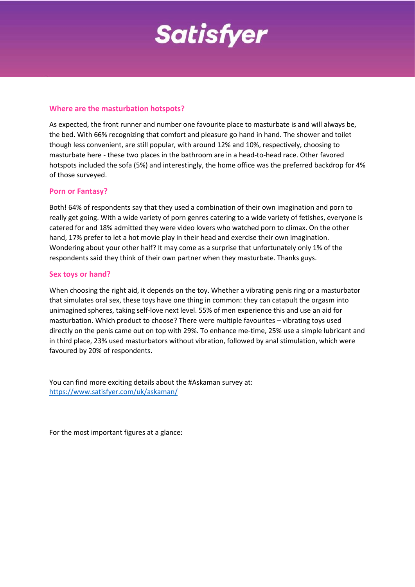

#### **Where are the masturbation hotspots?**

As expected, the front runner and number one favourite place to masturbate is and will always be, the bed. With 66% recognizing that comfort and pleasure go hand in hand. The shower and toilet though less convenient, are still popular, with around 12% and 10%, respectively, choosing to masturbate here - these two places in the bathroom are in a head-to-head race. Other favored hotspots included the sofa (5%) and interestingly, the home office was the preferred backdrop for 4% of those surveyed.

### **Porn or Fantasy?**

Both! 64% of respondents say that they used a combination of their own imagination and porn to really get going. With a wide variety of porn genres catering to a wide variety of fetishes, everyone is catered for and 18% admitted they were video lovers who watched porn to climax. On the other hand, 17% prefer to let a hot movie play in their head and exercise their own imagination. Wondering about your other half? It may come as a surprise that unfortunately only 1% of the respondents said they think of their own partner when they masturbate. Thanks guys.

### **Sex toys or hand?**

When choosing the right aid, it depends on the toy. Whether a vibrating penis ring or a masturbator that simulates oral sex, these toys have one thing in common: they can catapult the orgasm into unimagined spheres, taking self-love next level. 55% of men experience this and use an aid for masturbation. Which product to choose? There were multiple favourites – vibrating toys used directly on the penis came out on top with 29%. To enhance me-time, 25% use a simple lubricant and in third place, 23% used masturbators without vibration, followed by anal stimulation, which were favoured by 20% of respondents.

You can find more exciting details about the #Askaman survey at: <https://www.satisfyer.com/uk/askaman/>

For the most important figures at a glance: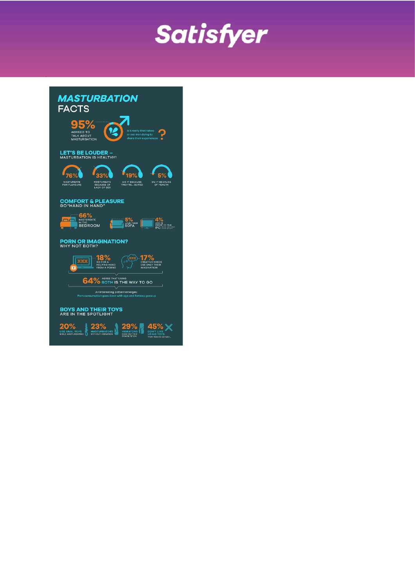

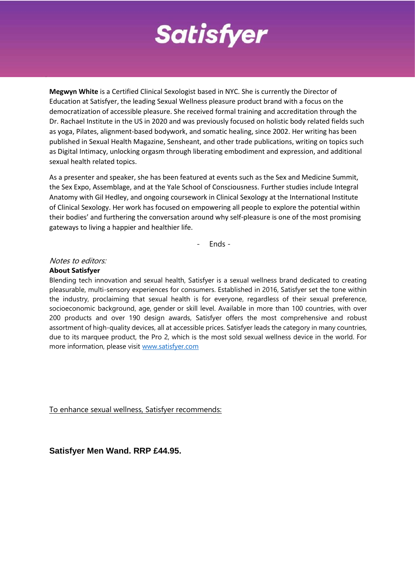

**Megwyn White** is a Certified Clinical Sexologist based in NYC. She is currently the Director of Education at Satisfyer, the leading Sexual Wellness pleasure product brand with a focus on the democratization of accessible pleasure. She received formal training and accreditation through the Dr. Rachael Institute in the US in 2020 and was previously focused on holistic body related fields such as yoga, Pilates, alignment-based bodywork, and somatic healing, since 2002. Her writing has been published in Sexual Health Magazine, Sensheant, and other trade publications, writing on topics such as Digital Intimacy, unlocking orgasm through liberating embodiment and expression, and additional sexual health related topics.

As a presenter and speaker, she has been featured at events such as the Sex and Medicine Summit, the Sex Expo, Assemblage, and at the Yale School of Consciousness. Further studies include Integral Anatomy with Gil Hedley, and ongoing coursework in Clinical Sexology at the International Institute of Clinical Sexology. Her work has focused on empowering all people to explore the potential within their bodies' and furthering the conversation around why self-pleasure is one of the most promising gateways to living a happier and healthier life.

- Ends -

#### Notes to editors:

#### **About Satisfyer**

Blending tech innovation and sexual health, Satisfyer is a sexual wellness brand dedicated to creating pleasurable, multi-sensory experiences for consumers. Established in 2016, Satisfyer set the tone within the industry, proclaiming that sexual health is for everyone, regardless of their sexual preference, socioeconomic background, age, gender or skill level. Available in more than 100 countries, with over 200 products and over 190 design awards, Satisfyer offers the most comprehensive and robust assortment of high-quality devices, all at accessible prices. Satisfyer leads the category in many countries, due to its marquee product, the Pro 2, which is the most sold sexual wellness device in the world. For more information, please visit [www.satisfyer.com](http://www.satisfyer.com/)

To enhance sexual wellness, Satisfyer recommends:

**Satisfyer Men Wand. RRP £44.95.**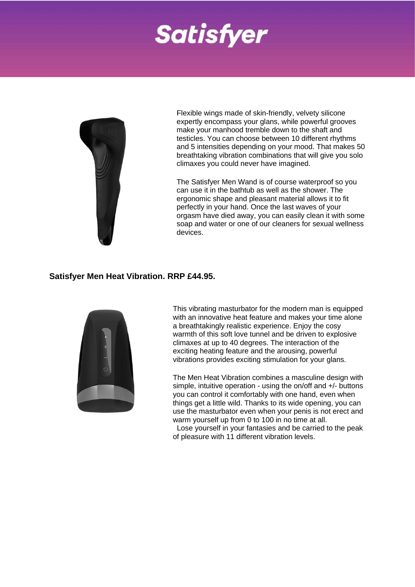# **Satisfyer**



Flexible wings made of skin-friendly, velvety silicone expertly encompass your glans, while powerful grooves make your manhood tremble down to the shaft and testicles. You can choose between 10 different rhythms and 5 intensities depending on your mood. That makes 50 breathtaking vibration combinations that will give you solo climaxes you could never have imagined.

The Satisfyer Men Wand is of course waterproof so you can use it in the bathtub as well as the shower. The ergonomic shape and pleasant material allows it to fit perfectly in your hand. Once the last waves of your orgasm have died away, you can easily clean it with some soap and water or one of our cleaners for sexual wellness devices.

## **Satisfyer Men Heat Vibration. RRP £44.95.**



This vibrating masturbator for the modern man is equipped with an innovative heat feature and makes your time alone a breathtakingly realistic experience. Enjoy the cosy warmth of this soft love tunnel and be driven to explosive climaxes at up to 40 degrees. The interaction of the exciting heating feature and the arousing, powerful vibrations provides exciting stimulation for your glans.

The Men Heat Vibration combines a masculine design with simple, intuitive operation - using the on/off and +/- buttons you can control it comfortably with one hand, even when things get a little wild. Thanks to its wide opening, you can use the masturbator even when your penis is not erect and warm yourself up from 0 to 100 in no time at all.

Lose yourself in your fantasies and be carried to the peak of pleasure with 11 different vibration levels.